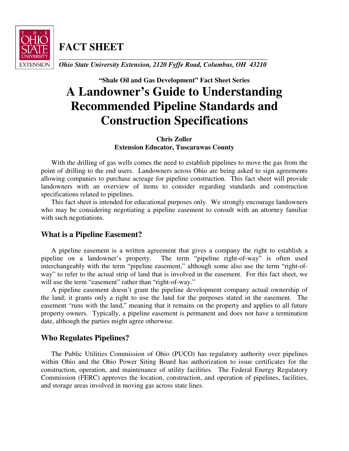

**FACT SHEET** 

**\_\_\_\_\_\_\_\_\_\_\_\_\_\_\_\_\_\_\_\_\_\_\_\_\_\_\_\_\_\_\_\_\_\_\_\_\_\_\_\_\_\_\_\_\_\_\_\_\_\_\_\_\_\_\_\_\_\_\_\_\_**  *Ohio State University Extension, 2120 Fyffe Road, Columbus, OH 43210* 

# **"Shale Oil and Gas Development" Fact Sheet Series A Landowner's Guide to Understanding Recommended Pipeline Standards and Construction Specifications**

**Chris Zoller Extension Educator, Tuscarawas County** 

With the drilling of gas wells comes the need to establish pipelines to move the gas from the point of drilling to the end users. Landowners across Ohio are being asked to sign agreements allowing companies to purchase acreage for pipeline construction. This fact sheet will provide landowners with an overview of items to consider regarding standards and construction specifications related to pipelines.

This fact sheet is intended for educational purposes only. We strongly encourage landowners who may be considering negotiating a pipeline easement to consult with an attorney familiar with such negotiations.

# **What is a Pipeline Easement?**

A pipeline easement is a written agreement that gives a company the right to establish a pipeline on a landowner's property. The term "pipeline right-of-way" is often used interchangeably with the term "pipeline easement," although some also use the term "right-ofway" to refer to the actual strip of land that is involved in the easement. For this fact sheet, we will use the term "easement" rather than "right-of-way."

A pipeline easement doesn't grant the pipeline development company actual ownership of the land; it grants only a right to use the land for the purposes stated in the easement. The easement "runs with the land," meaning that it remains on the property and applies to all future property owners. Typically, a pipeline easement is permanent and does not have a termination date, although the parties might agree otherwise.

# **Who Regulates Pipelines?**

The Public Utilities Commission of Ohio (PUCO) has regulatory authority over pipelines within Ohio and the Ohio Power Siting Board has authorization to issue certificates for the construction, operation, and maintenance of utility facilities. The Federal Energy Regulatory Commission (FERC) approves the location, construction, and operation of pipelines, facilities, and storage areas involved in moving gas across state lines.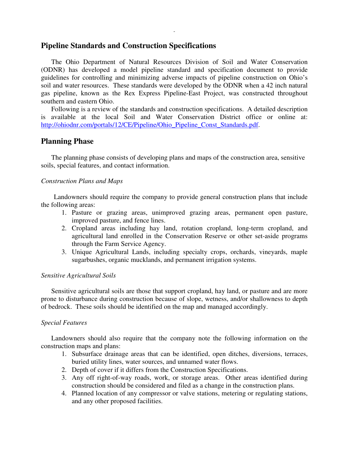## **Pipeline Standards and Construction Specifications**

The Ohio Department of Natural Resources Division of Soil and Water Conservation (ODNR) has developed a model pipeline standard and specification document to provide guidelines for controlling and minimizing adverse impacts of pipeline construction on Ohio's soil and water resources. These standards were developed by the ODNR when a 42 inch natural gas pipeline, known as the Rex Express Pipeline-East Project, was constructed throughout southern and eastern Ohio.

-

Following is a review of the standards and construction specifications. A detailed description is available at the local Soil and Water Conservation District office or online at: http://ohiodnr.com/portals/12/CE/Pipeline/Ohio\_Pipeline\_Const\_Standards.pdf.

### **Planning Phase**

The planning phase consists of developing plans and maps of the construction area, sensitive soils, special features, and contact information.

#### *Construction Plans and Maps*

Landowners should require the company to provide general construction plans that include the following areas:

- 1. Pasture or grazing areas, unimproved grazing areas, permanent open pasture, improved pasture, and fence lines.
- 2. Cropland areas including hay land, rotation cropland, long-term cropland, and agricultural land enrolled in the Conservation Reserve or other set-aside programs through the Farm Service Agency.
- 3. Unique Agricultural Lands, including specialty crops, orchards, vineyards, maple sugarbushes, organic mucklands, and permanent irrigation systems.

#### *Sensitive Agricultural Soils*

Sensitive agricultural soils are those that support cropland, hay land, or pasture and are more prone to disturbance during construction because of slope, wetness, and/or shallowness to depth of bedrock. These soils should be identified on the map and managed accordingly.

#### *Special Features*

Landowners should also require that the company note the following information on the construction maps and plans:

- 1. Subsurface drainage areas that can be identified, open ditches, diversions, terraces, buried utility lines, water sources, and unnamed water flows.
- 2. Depth of cover if it differs from the Construction Specifications.
- 3. Any off right-of-way roads, work, or storage areas. Other areas identified during construction should be considered and filed as a change in the construction plans.
- 4. Planned location of any compressor or valve stations, metering or regulating stations, and any other proposed facilities.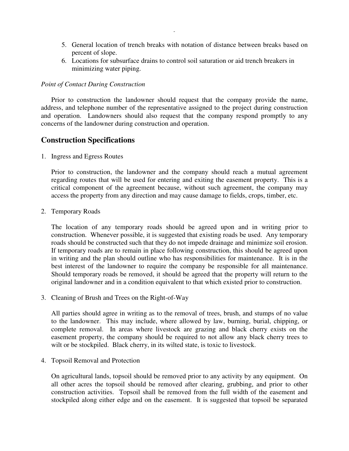- 5. General location of trench breaks with notation of distance between breaks based on percent of slope.
- 6. Locations for subsurface drains to control soil saturation or aid trench breakers in minimizing water piping.

-

#### *Point of Contact During Construction*

Prior to construction the landowner should request that the company provide the name, address, and telephone number of the representative assigned to the project during construction and operation. Landowners should also request that the company respond promptly to any concerns of the landowner during construction and operation.

## **Construction Specifications**

1. Ingress and Egress Routes

Prior to construction, the landowner and the company should reach a mutual agreement regarding routes that will be used for entering and exiting the easement property. This is a critical component of the agreement because, without such agreement, the company may access the property from any direction and may cause damage to fields, crops, timber, etc.

2. Temporary Roads

The location of any temporary roads should be agreed upon and in writing prior to construction. Whenever possible, it is suggested that existing roads be used. Any temporary roads should be constructed such that they do not impede drainage and minimize soil erosion. If temporary roads are to remain in place following construction, this should be agreed upon in writing and the plan should outline who has responsibilities for maintenance. It is in the best interest of the landowner to require the company be responsible for all maintenance. Should temporary roads be removed, it should be agreed that the property will return to the original landowner and in a condition equivalent to that which existed prior to construction.

3. Cleaning of Brush and Trees on the Right-of-Way

All parties should agree in writing as to the removal of trees, brush, and stumps of no value to the landowner. This may include, where allowed by law, burning, burial, chipping, or complete removal. In areas where livestock are grazing and black cherry exists on the easement property, the company should be required to not allow any black cherry trees to wilt or be stockpiled. Black cherry, in its wilted state, is toxic to livestock.

4. Topsoil Removal and Protection

On agricultural lands, topsoil should be removed prior to any activity by any equipment. On all other acres the topsoil should be removed after clearing, grubbing, and prior to other construction activities. Topsoil shall be removed from the full width of the easement and stockpiled along either edge and on the easement. It is suggested that topsoil be separated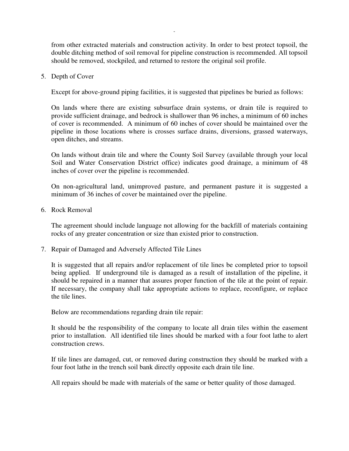from other extracted materials and construction activity. In order to best protect topsoil, the double ditching method of soil removal for pipeline construction is recommended. All topsoil should be removed, stockpiled, and returned to restore the original soil profile.

-

5. Depth of Cover

Except for above-ground piping facilities, it is suggested that pipelines be buried as follows:

On lands where there are existing subsurface drain systems, or drain tile is required to provide sufficient drainage, and bedrock is shallower than 96 inches, a minimum of 60 inches of cover is recommended. A minimum of 60 inches of cover should be maintained over the pipeline in those locations where is crosses surface drains, diversions, grassed waterways, open ditches, and streams.

On lands without drain tile and where the County Soil Survey (available through your local Soil and Water Conservation District office) indicates good drainage, a minimum of 48 inches of cover over the pipeline is recommended.

On non-agricultural land, unimproved pasture, and permanent pasture it is suggested a minimum of 36 inches of cover be maintained over the pipeline.

6. Rock Removal

The agreement should include language not allowing for the backfill of materials containing rocks of any greater concentration or size than existed prior to construction.

7. Repair of Damaged and Adversely Affected Tile Lines

It is suggested that all repairs and/or replacement of tile lines be completed prior to topsoil being applied. If underground tile is damaged as a result of installation of the pipeline, it should be repaired in a manner that assures proper function of the tile at the point of repair. If necessary, the company shall take appropriate actions to replace, reconfigure, or replace the tile lines.

Below are recommendations regarding drain tile repair:

It should be the responsibility of the company to locate all drain tiles within the easement prior to installation. All identified tile lines should be marked with a four foot lathe to alert construction crews.

If tile lines are damaged, cut, or removed during construction they should be marked with a four foot lathe in the trench soil bank directly opposite each drain tile line.

All repairs should be made with materials of the same or better quality of those damaged.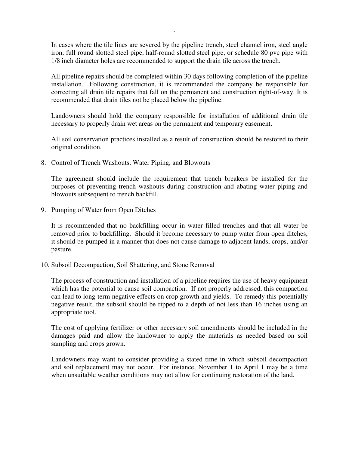In cases where the tile lines are severed by the pipeline trench, steel channel iron, steel angle iron, full round slotted steel pipe, half-round slotted steel pipe, or schedule 80 pvc pipe with 1/8 inch diameter holes are recommended to support the drain tile across the trench.

-

All pipeline repairs should be completed within 30 days following completion of the pipeline installation. Following construction, it is recommended the company be responsible for correcting all drain tile repairs that fall on the permanent and construction right-of-way. It is recommended that drain tiles not be placed below the pipeline.

Landowners should hold the company responsible for installation of additional drain tile necessary to properly drain wet areas on the permanent and temporary easement.

All soil conservation practices installed as a result of construction should be restored to their original condition.

8. Control of Trench Washouts, Water Piping, and Blowouts

The agreement should include the requirement that trench breakers be installed for the purposes of preventing trench washouts during construction and abating water piping and blowouts subsequent to trench backfill.

9. Pumping of Water from Open Ditches

It is recommended that no backfilling occur in water filled trenches and that all water be removed prior to backfilling. Should it become necessary to pump water from open ditches, it should be pumped in a manner that does not cause damage to adjacent lands, crops, and/or pasture.

10. Subsoil Decompaction, Soil Shattering, and Stone Removal

The process of construction and installation of a pipeline requires the use of heavy equipment which has the potential to cause soil compaction. If not properly addressed, this compaction can lead to long-term negative effects on crop growth and yields. To remedy this potentially negative result, the subsoil should be ripped to a depth of not less than 16 inches using an appropriate tool.

The cost of applying fertilizer or other necessary soil amendments should be included in the damages paid and allow the landowner to apply the materials as needed based on soil sampling and crops grown.

Landowners may want to consider providing a stated time in which subsoil decompaction and soil replacement may not occur. For instance, November 1 to April 1 may be a time when unsuitable weather conditions may not allow for continuing restoration of the land.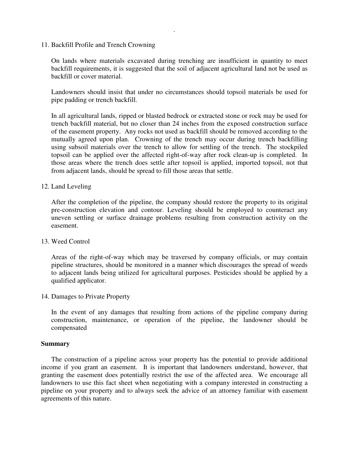11. Backfill Profile and Trench Crowning

On lands where materials excavated during trenching are insufficient in quantity to meet backfill requirements, it is suggested that the soil of adjacent agricultural land not be used as backfill or cover material.

-

Landowners should insist that under no circumstances should topsoil materials be used for pipe padding or trench backfill.

In all agricultural lands, ripped or blasted bedrock or extracted stone or rock may be used for trench backfill material, but no closer than 24 inches from the exposed construction surface of the easement property. Any rocks not used as backfill should be removed according to the mutually agreed upon plan. Crowning of the trench may occur during trench backfilling using subsoil materials over the trench to allow for settling of the trench. The stockpiled topsoil can be applied over the affected right-of-way after rock clean-up is completed. In those areas where the trench does settle after topsoil is applied, imported topsoil, not that from adjacent lands, should be spread to fill those areas that settle.

12. Land Leveling

After the completion of the pipeline, the company should restore the property to its original pre-construction elevation and contour. Leveling should be employed to counteract any uneven settling or surface drainage problems resulting from construction activity on the easement.

13. Weed Control

Areas of the right-of-way which may be traversed by company officials, or may contain pipeline structures, should be monitored in a manner which discourages the spread of weeds to adjacent lands being utilized for agricultural purposes. Pesticides should be applied by a qualified applicator.

14. Damages to Private Property

In the event of any damages that resulting from actions of the pipeline company during construction, maintenance, or operation of the pipeline, the landowner should be compensated

#### **Summary**

The construction of a pipeline across your property has the potential to provide additional income if you grant an easement. It is important that landowners understand, however, that granting the easement does potentially restrict the use of the affected area. We encourage all landowners to use this fact sheet when negotiating with a company interested in constructing a pipeline on your property and to always seek the advice of an attorney familiar with easement agreements of this nature.